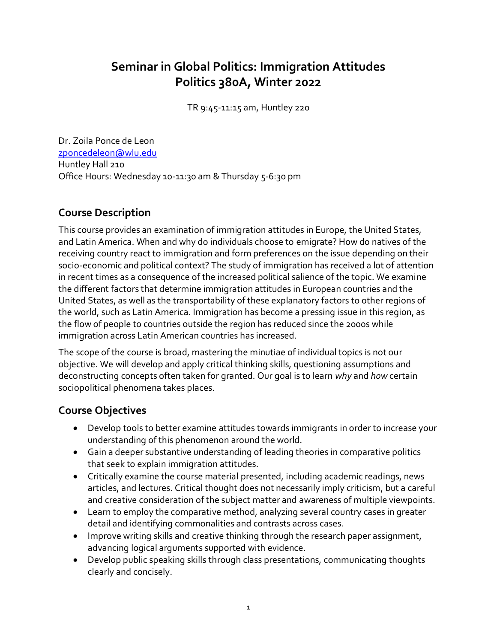# **Seminar in Global Politics: Immigration Attitudes Politics 380A, Winter 2022**

TR 9:45-11:15 am, Huntley 220

Dr. Zoila Ponce de Leon [zponcedeleon@wlu.edu](mailto:zponcedeleon@wlu.edu) Huntley Hall 210 Office Hours: Wednesday 10-11:30 am & Thursday 5-6:30 pm

## **Course Description**

This course provides an examination of immigration attitudes in Europe, the United States, and Latin America. When and why do individuals choose to emigrate? How do natives of the receiving country react to immigration and form preferences on the issue depending on their socio-economic and political context? The study of immigration has received a lot of attention in recent times as a consequence of the increased political salience of the topic. We examine the different factors that determine immigration attitudes in European countries and the United States, as well as the transportability of these explanatory factors to other regions of the world, such as Latin America. Immigration has become a pressing issue in this region, as the flow of people to countries outside the region has reduced since the 2000s while immigration across Latin American countries has increased.

The scope of the course is broad, mastering the minutiae of individual topics is not our objective. We will develop and apply critical thinking skills, questioning assumptions and deconstructing concepts often taken for granted. Our goal is to learn *why* and *how* certain sociopolitical phenomena takes places.

## **Course Objectives**

- Develop tools to better examine attitudes towards immigrants in order to increase your understanding of this phenomenon around the world.
- Gain a deeper substantive understanding of leading theories in comparative politics that seek to explain immigration attitudes.
- Critically examine the course material presented, including academic readings, news articles, and lectures. Critical thought does not necessarily imply criticism, but a careful and creative consideration of the subject matter and awareness of multiple viewpoints.
- Learn to employ the comparative method, analyzing several country cases in greater detail and identifying commonalities and contrasts across cases.
- Improve writing skills and creative thinking through the research paper assignment, advancing logical arguments supported with evidence.
- Develop public speaking skills through class presentations, communicating thoughts clearly and concisely.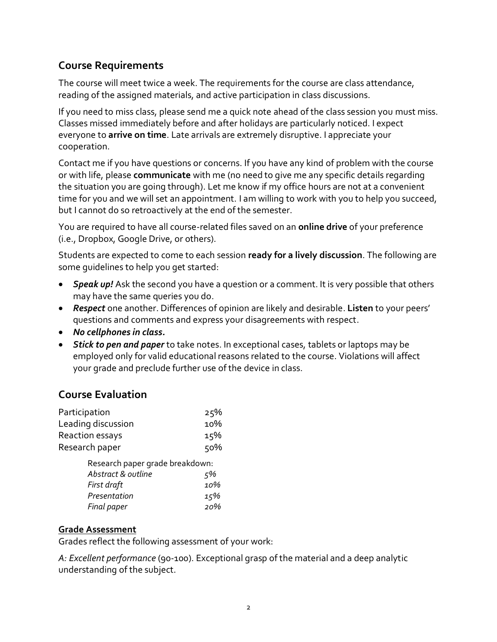## **Course Requirements**

The course will meet twice a week. The requirements for the course are class attendance, reading of the assigned materials, and active participation in class discussions.

If you need to miss class, please send me a quick note ahead of the class session you must miss. Classes missed immediately before and after holidays are particularly noticed. I expect everyone to **arrive on time**. Late arrivals are extremely disruptive. I appreciate your cooperation.

Contact me if you have questions or concerns. If you have any kind of problem with the course or with life, please **communicate** with me (no need to give me any specific details regarding the situation you are going through). Let me know if my office hours are not at a convenient time for you and we will set an appointment. I am willing to work with you to help you succeed, but I cannot do so retroactively at the end of the semester.

You are required to have all course-related files saved on an **online drive** of your preference (i.e., Dropbox, Google Drive, or others).

Students are expected to come to each session **ready for a lively discussion**. The following are some guidelines to help you get started:

- *Speak up!* Ask the second you have a question or a comment. It is very possible that others may have the same queries you do.
- *Respect* one another. Differences of opinion are likely and desirable. **Listen** to your peers' questions and comments and express your disagreements with respect.
- *No cellphones in class.*
- *Stick to pen and paper* to take notes. In exceptional cases, tablets or laptops may be employed only for valid educational reasons related to the course. Violations will affect your grade and preclude further use of the device in class.

## **Course Evaluation**

| Participation                   | 25% |
|---------------------------------|-----|
| Leading discussion              | 10% |
| Reaction essays                 | 15% |
| Research paper                  | 50% |
| Research paper grade breakdown: |     |

| Research paper grade breakdown. |     |
|---------------------------------|-----|
| Abstract & outline              | 5%  |
| First draft                     | 10% |
| Presentation                    | 15% |
| Final paper                     | 20% |

#### **Grade Assessment**

Grades reflect the following assessment of your work:

*A: Excellent performance* (90-100). Exceptional grasp of the material and a deep analytic understanding of the subject.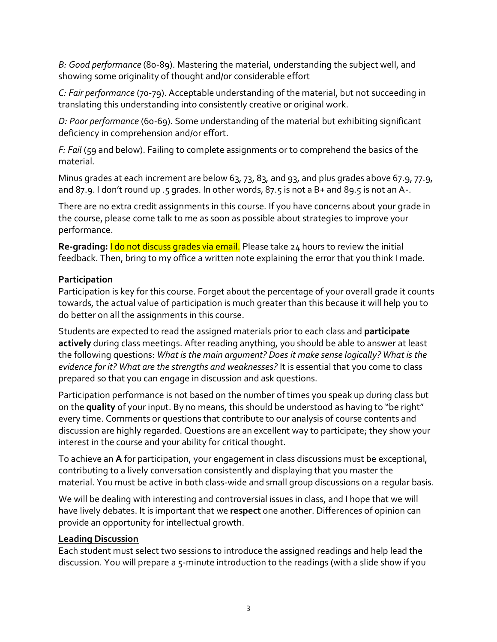*B: Good performance* (80-89). Mastering the material, understanding the subject well, and showing some originality of thought and/or considerable effort

*C: Fair performance* (70-79). Acceptable understanding of the material, but not succeeding in translating this understanding into consistently creative or original work.

*D: Poor performance* (60-69). Some understanding of the material but exhibiting significant deficiency in comprehension and/or effort.

*F: Fail* (59 and below). Failing to complete assignments or to comprehend the basics of the material.

Minus grades at each increment are below 63, 73, 83, and 93, and plus grades above 67.9, 77.9, and 87.9. I don't round up .5 grades. In other words, 87.5 is not a B+ and 89.5 is not an A-.

There are no extra credit assignments in this course. If you have concerns about your grade in the course, please come talk to me as soon as possible about strategies to improve your performance.

**Re-grading:** I do not discuss grades via email. Please take 24 hours to review the initial feedback. Then, bring to my office a written note explaining the error that you think I made.

### **Participation**

Participation is key for this course. Forget about the percentage of your overall grade it counts towards, the actual value of participation is much greater than this because it will help you to do better on all the assignments in this course.

Students are expected to read the assigned materials prior to each class and **participate actively** during class meetings. After reading anything, you should be able to answer at least the following questions: *What is the main argument? Does it make sense logically? What is the evidence for it? What are the strengths and weaknesses?* It is essential that you come to class prepared so that you can engage in discussion and ask questions.

Participation performance is not based on the number of times you speak up during class but on the **quality** of your input. By no means, this should be understood as having to "be right" every time. Comments or questions that contribute to our analysis of course contents and discussion are highly regarded. Questions are an excellent way to participate; they show your interest in the course and your ability for critical thought.

To achieve an **A** for participation, your engagement in class discussions must be exceptional, contributing to a lively conversation consistently and displaying that you master the material. You must be active in both class-wide and small group discussions on a regular basis.

We will be dealing with interesting and controversial issues in class, and I hope that we will have lively debates. It is important that we **respect** one another. Differences of opinion can provide an opportunity for intellectual growth.

#### **Leading Discussion**

Each student must select two sessions to introduce the assigned readings and help lead the discussion. You will prepare a 5-minute introduction to the readings (with a slide show if you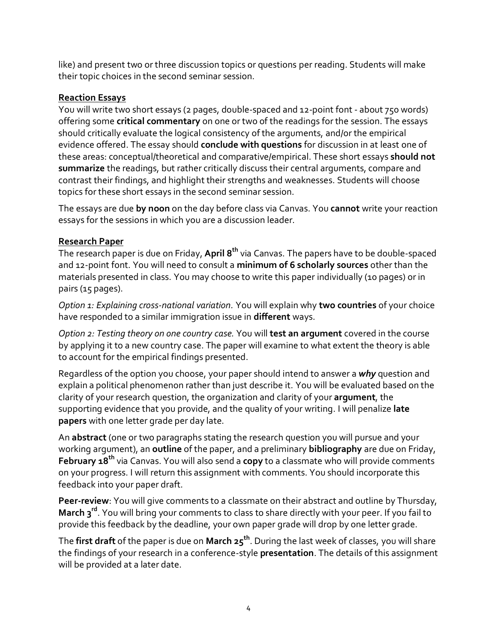like) and present two or three discussion topics or questions per reading. Students will make their topic choices in the second seminar session.

#### **Reaction Essays**

You will write two short essays (2 pages, double-spaced and 12-point font - about 750 words) offering some **critical commentary** on one or two of the readings for the session. The essays should critically evaluate the logical consistency of the arguments, and/or the empirical evidence offered. The essay should **conclude with questions** for discussion in at least one of these areas: conceptual/theoretical and comparative/empirical. These short essays **should not summarize** the readings, but rather critically discuss their central arguments, compare and contrast their findings, and highlight their strengths and weaknesses. Students will choose topics for these short essays in the second seminar session.

The essays are due **by noon** on the day before class via Canvas. You **cannot** write your reaction essays for the sessions in which you are a discussion leader.

#### **Research Paper**

The research paper is due on Friday, **April 8 th** via Canvas. The papers have to be double-spaced and 12-point font. You will need to consult a **minimum of 6 scholarly sources** other than the materials presented in class. You may choose to write this paper individually (10 pages) or in pairs (15 pages).

*Option 1: Explaining cross‐national variation.* You will explain why **two countries** of your choice have responded to a similar immigration issue in **different** ways.

*Option 2: Testing theory on one country case.* You will **test an argument** covered in the course by applying it to a new country case. The paper will examine to what extent the theory is able to account for the empirical findings presented.

Regardless of the option you choose, your paper should intend to answer a *why* question and explain a political phenomenon rather than just describe it. You will be evaluated based on the clarity of your research question, the organization and clarity of your **argument**, the supporting evidence that you provide, and the quality of your writing. I will penalize **late papers** with one letter grade per day late.

An **abstract** (one or two paragraphs stating the research question you will pursue and your working argument), an **outline** of the paper, and a preliminary **bibliography** are due on Friday, **February 18th** via Canvas. You will also send a **copy** to a classmate who will provide comments on your progress. I will return this assignment with comments. You should incorporate this feedback into your paper draft.

**Peer-review**: You will give comments to a classmate on their abstract and outline by Thursday, **March 3 rd** . You will bring your comments to class to share directly with your peer. If you fail to provide this feedback by the deadline, your own paper grade will drop by one letter grade.

The **first draft** of the paper is due on **March 25 th** . During the last week of classes, you will share the findings of your research in a conference-style **presentation**. The details of this assignment will be provided at a later date.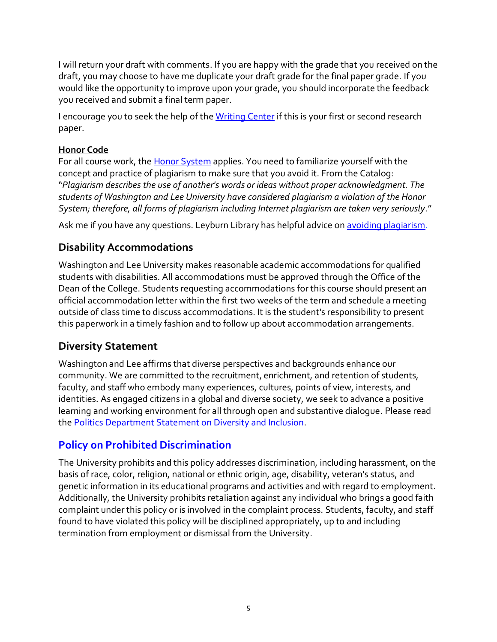I will return your draft with comments. If you are happy with the grade that you received on the draft, you may choose to have me duplicate your draft grade for the final paper grade. If you would like the opportunity to improve upon your grade, you should incorporate the feedback you received and submit a final term paper.

I encourage you to seek the help of th[e Writing Center](https://www.wlu.edu/writing-program/writing-center) if this is your first or second research paper.

### **Honor Code**

For all course work, the [Honor System](http://www.wlu.edu/executive-committee/the-honor-system/the-white-book#The_Honor_System) applies. You need to familiarize yourself with the concept and practice of plagiarism to make sure that you avoid it. From the Catalog: "*Plagiarism describes the use of another's words or ideas without proper acknowledgment. The students of Washington and Lee University have considered plagiarism a violation of the Honor System; therefore, all forms of plagiarism including Internet plagiarism are taken very seriously*."

Ask me if you have any questions. Leyburn Library has helpful advice o[n avoiding plagiarism.](https://libguides.wlu.edu/plagiarism)

# **Disability Accommodations**

Washington and Lee University makes reasonable academic accommodations for qualified students with disabilities. All accommodations must be approved through the Office of the Dean of the College. Students requesting accommodations for this course should present an official accommodation letter within the first two weeks of the term and schedule a meeting outside of class time to discuss accommodations. It is the student's responsibility to present this paperwork in a timely fashion and to follow up about accommodation arrangements.

# **Diversity Statement**

Washington and Lee affirms that diverse perspectives and backgrounds enhance our community. We are committed to the recruitment, enrichment, and retention of students, faculty, and staff who embody many experiences, cultures, points of view, interests, and identities. As engaged citizens in a global and diverse society, we seek to advance a positive learning and working environment for all through open and substantive dialogue. Please read the [Politics Department Statement on Diversity and Inclusion.](https://my.wlu.edu/the-williams-school/departments-and-programs/politics/852020-a-message-from-the-politics-department)

# **[Policy on Prohibited Discrimination](https://my.wlu.edu/general-counsel/code-of-policies/discrimination-harassment-and-retaliation/university-policy-on-prohibited-discrimination-harassment-and-retaliation-other-than-sex)**

The University prohibits and this policy addresses discrimination, including harassment, on the basis of race, color, religion, national or ethnic origin, age, disability, veteran's status, and genetic information in its educational programs and activities and with regard to employment. Additionally, the University prohibits retaliation against any individual who brings a good faith complaint under this policy or is involved in the complaint process. Students, faculty, and staff found to have violated this policy will be disciplined appropriately, up to and including termination from employment or dismissal from the University.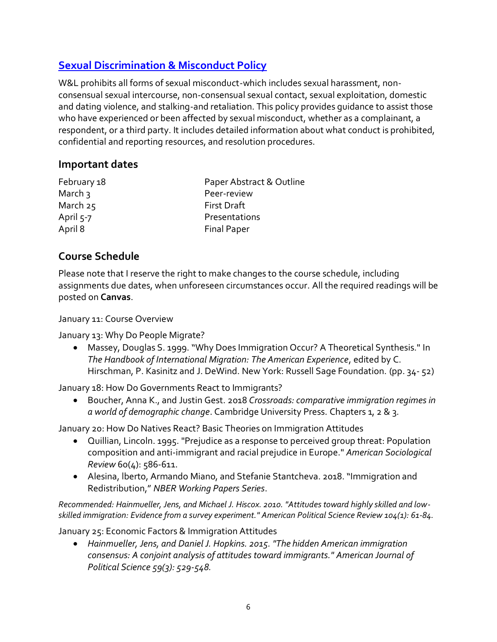# **[Sexual Discrimination & Misconduct Policy](https://my.wlu.edu/general-counsel/code-of-policies/discrimination-harassment-and-retaliation/sexual-discrimination-and-misconduct-policy)**

W&L prohibits all forms of sexual misconduct-which includes sexual harassment, nonconsensual sexual intercourse, non-consensual sexual contact, sexual exploitation, domestic and dating violence, and stalking-and retaliation. This policy provides guidance to assist those who have experienced or been affected by sexual misconduct, whether as a complainant, a respondent, or a third party. It includes detailed information about what conduct is prohibited, confidential and reporting resources, and resolution procedures.

### **Important dates**

| February 18 | Paper Abstract & Outline |
|-------------|--------------------------|
| March 3     | Peer-review              |
| March $25$  | <b>First Draft</b>       |
| April 5-7   | Presentations            |
| April 8     | <b>Final Paper</b>       |

## **Course Schedule**

Please note that I reserve the right to make changes to the course schedule, including assignments due dates, when unforeseen circumstances occur. All the required readings will be posted on **Canvas**.

January 11: Course Overview

January 13: Why Do People Migrate?

• Massey, Douglas S. 1999. "Why Does Immigration Occur? A Theoretical Synthesis." In *The Handbook of International Migration: The American Experience*, edited by C. Hirschman, P. Kasinitz and J. DeWind. New York: Russell Sage Foundation. (pp. 34- 52)

January 18: How Do Governments React to Immigrants?

• Boucher, Anna K., and Justin Gest. 2018 *Crossroads: comparative immigration regimes in a world of demographic change*. Cambridge University Press. Chapters 1, 2 & 3.

January 20: How Do Natives React? Basic Theories on Immigration Attitudes

- Quillian, Lincoln. 1995. "Prejudice as a response to perceived group threat: Population composition and anti-immigrant and racial prejudice in Europe." *American Sociological Review* 60(4): 586-611.
- Alesina, lberto, Armando Miano, and Stefanie Stantcheva. 2018. "Immigration and Redistribution," *NBER Working Papers Series*.

*Recommended: Hainmueller, Jens, and Michael J. Hiscox. 2010. "Attitudes toward highly skilled and lowskilled immigration: Evidence from a survey experiment." American Political Science Review 104(1): 61-84.*

January 25: Economic Factors & Immigration Attitudes

• *Hainmueller, Jens, and Daniel J. Hopkins. 2015. "The hidden American immigration consensus: A conjoint analysis of attitudes toward immigrants." American Journal of Political Science 59(3): 529-548.*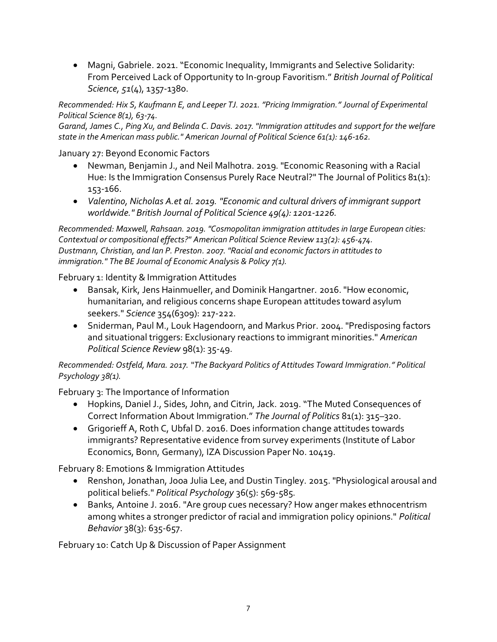• Magni, Gabriele. 2021. "Economic Inequality, Immigrants and Selective Solidarity: From Perceived Lack of Opportunity to In-group Favoritism." *British Journal of Political Science, 51*(4), 1357-1380.

*Recommended: Hix S, Kaufmann E, and Leeper TJ. 2021. "Pricing Immigration."Journal of Experimental Political Science 8(1), 63-74.*

*Garand, James C., Ping Xu, and Belinda C. Davis. 2017. "Immigration attitudes and support for the welfare state in the American mass public." American Journal of Political Science 61(1): 146-162.*

January 27: Beyond Economic Factors

- Newman, Benjamin J., and Neil Malhotra. 2019. "Economic Reasoning with a Racial Hue: Is the Immigration Consensus Purely Race Neutral?" The Journal of Politics 81(1): 153-166.
- *Valentino, Nicholas A.et al. 2019. "Economic and cultural drivers of immigrant support worldwide." British Journal of Political Science 49(4): 1201-1226.*

*Recommended: Maxwell, Rahsaan. 2019. "Cosmopolitan immigration attitudes in large European cities: Contextual or compositional effects?" American Political Science Review 113(2): 456-474. Dustmann, Christian, and Ian P. Preston. 2007. "Racial and economic factors in attitudes to immigration." The BE Journal of Economic Analysis & Policy 7(1).*

February 1: Identity & Immigration Attitudes

- Bansak, Kirk, Jens Hainmueller, and Dominik Hangartner. 2016. "How economic, humanitarian, and religious concerns shape European attitudes toward asylum seekers." *Science* 354(6309): 217-222.
- Sniderman, Paul M., Louk Hagendoorn, and Markus Prior. 2004. "Predisposing factors and situational triggers: Exclusionary reactions to immigrant minorities." *American Political Science Review* 98(1): 35-49.

*Recommended: Ostfeld, Mara. 2017. "The Backyard Politics of Attitudes Toward Immigration." Political Psychology 38(1).*

February 3: The Importance of Information

- Hopkins, Daniel J., Sides, John, and Citrin, Jack. 2019. "The Muted Consequences of Correct Information About Immigration." *The Journal of Politics* 81(1): 315–320.
- Grigorieff A, Roth C, Ubfal D. 2016. Does information change attitudes towards immigrants? Representative evidence from survey experiments (Institute of Labor Economics, Bonn, Germany), IZA Discussion Paper No. 10419.

February 8: Emotions & Immigration Attitudes

- Renshon, Jonathan, Jooa Julia Lee, and Dustin Tingley. 2015. "Physiological arousal and political beliefs." *Political Psychology* 36(5): 569-585.
- Banks, Antoine J. 2016. "Are group cues necessary? How anger makes ethnocentrism among whites a stronger predictor of racial and immigration policy opinions." *Political Behavior* 38(3): 635-657.

February 10: Catch Up & Discussion of Paper Assignment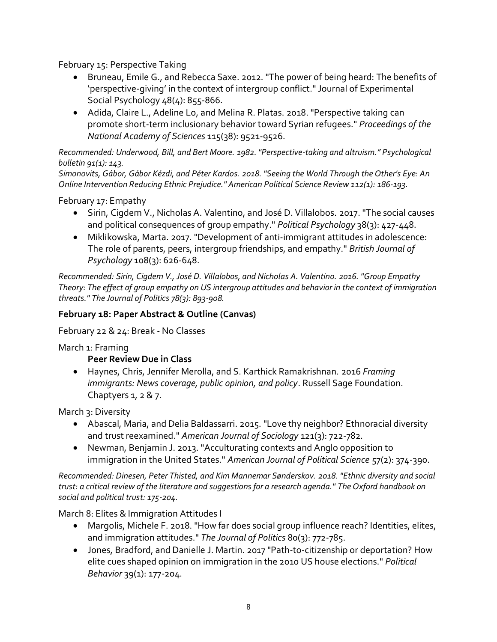February 15: Perspective Taking

- Bruneau, Emile G., and Rebecca Saxe. 2012. "The power of being heard: The benefits of 'perspective-giving' in the context of intergroup conflict." Journal of Experimental Social Psychology 48(4): 855-866.
- Adida, Claire L., Adeline Lo, and Melina R. Platas. 2018. "Perspective taking can promote short-term inclusionary behavior toward Syrian refugees." *Proceedings of the National Academy of Sciences* 115(38): 9521-9526.

*Recommended: Underwood, Bill, and Bert Moore. 1982. "Perspective-taking and altruism." Psychological bulletin 91(1): 143.*

*Simonovits, Gábor, Gábor Kézdi, and Péter Kardos. 2018. "Seeing the World Through the Other's Eye: An Online Intervention Reducing Ethnic Prejudice." American Political Science Review 112(1): 186-193.*

February 17: Empathy

- Sirin, Cigdem V., Nicholas A. Valentino, and José D. Villalobos. 2017. "The social causes and political consequences of group empathy." *Political Psychology* 38(3): 427-448.
- Miklikowska, Marta. 2017. "Development of anti‐immigrant attitudes in adolescence: The role of parents, peers, intergroup friendships, and empathy." *British Journal of Psychology* 108(3): 626-648.

*Recommended: Sirin, Cigdem V., José D. Villalobos, and Nicholas A. Valentino. 2016. "Group Empathy Theory: The effect of group empathy on US intergroup attitudes and behavior in the context of immigration threats." The Journal of Politics 78(3): 893-908.*

### **February 18: Paper Abstract & Outline (Canvas)**

February 22 & 24: Break - No Classes

March 1: Framing

#### **Peer Review Due in Class**

• Haynes, Chris, Jennifer Merolla, and S. Karthick Ramakrishnan. 2016 *Framing immigrants: News coverage, public opinion, and policy*. Russell Sage Foundation. Chaptyers 1, 2 & 7.

March 3: Diversity

- Abascal, Maria, and Delia Baldassarri. 2015. "Love thy neighbor? Ethnoracial diversity and trust reexamined." *American Journal of Sociology* 121(3): 722-782.
- Newman, Benjamin J. 2013. "Acculturating contexts and Anglo opposition to immigration in the United States." *American Journal of Political Science* 57(2): 374-390.

*Recommended: Dinesen, Peter Thisted, and Kim Mannemar Sønderskov. 2018. "Ethnic diversity and social trust: a critical review of the literature and suggestions for a research agenda." The Oxford handbook on social and political trust: 175-204.*

March 8: Elites & Immigration Attitudes I

- Margolis, Michele F. 2018. "How far does social group influence reach? Identities, elites, and immigration attitudes." *The Journal of Politics* 80(3): 772-785.
- Jones, Bradford, and Danielle J. Martin. 2017 "Path-to-citizenship or deportation? How elite cues shaped opinion on immigration in the 2010 US house elections." *Political Behavior* 39(1): 177-204.